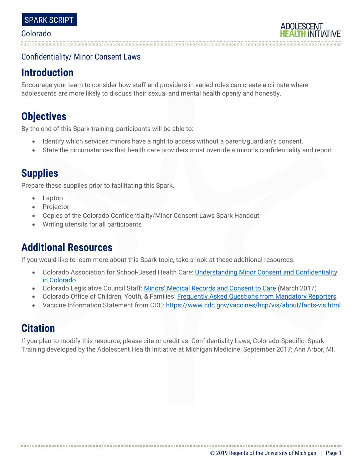### Confidentiality/ Minor Consent Laws

# **Introduction**

Encourage your team to consider how staff and providers in varied roles can create a climate where adolescents are more likely to discuss their sexual and mental health openly and honestly.

# **Objectives**

By the end of this Spark training, participants will be able to:

- Identify which services minors have a right to access without a parent/guardian's consent.
- State the circumstances that health care providers must override a minor's confidentiality and report.

# **Supplies**

Prepare these supplies prior to facilitating this Spark.

- Laptop
- **Projector**
- Copies of the Colorado Confidentiality/Minor Consent Laws Spark Handout
- Writing utensils for all participants

# **Additional Resources**

If you would like to learn more about this Spark topic, take a look at these additional resources.

- Colorado Association for School-Based Health Care: [Understanding Minor Consent and Confidentiality](https://www.cde.state.co.us/sites/default/files/documents/healthandwellness/download/school%20nurse/understanding%20minor%20consent%20and%20confidentiality%20in%20colorado.pdf)  [in Colorado](https://www.cde.state.co.us/sites/default/files/documents/healthandwellness/download/school%20nurse/understanding%20minor%20consent%20and%20confidentiality%20in%20colorado.pdf)
- Colorado Legislative Council Staff: [Minors' Medical Records and Consent to Care](https://leg.colorado.gov/sites/default/files/ib_17-14_history_of_the_hipaa_law_0.pdf) (March 2017)
- Colorado Office of Children, Youth, & Families: [Frequently Asked Questions from](http://co4kids.org/mandatoryreporting) Mandatory Reporters
- Vaccine Information Statement from CDC:<https://www.cdc.gov/vaccines/hcp/vis/about/facts-vis.html>

# **Citation**

If you plan to modify this resource, please cite or credit as: Confidentiality Laws, Colorado-Specific. Spark Training developed by the Adolescent Health Initiative at Michigan Medicine; September 2017; Ann Arbor, MI.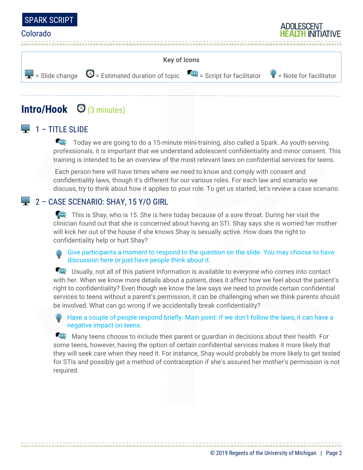



# **Intro/Hook** (3 minutes)

### $\Box$  1 – TITLE SLIDE

Today we are going to do a 15-minute mini-training, also called a Spark. As youth-serving professionals, it is important that we understand adolescent confidentiality and minor consent. This training is intended to be an overview of the most relevant laws on confidential services for teens.

Each person here will have times where we need to know and comply with consent and confidentiality laws, though it's different for our various roles. For each law and scenario we discuss, try to think about how it applies to your role. To get us started, let's review a case scenario.

### 2 – CASE SCENARIO: SHAY, 15 Y/O GIRL

This is Shay, who is 15. She is here today because of a sore throat. During her visit the clinician found out that she is concerned about having an STI. Shay says she is worried her mother will kick her out of the house if she knows Shay is sexually active. How does the right to confidentiality help or hurt Shay?

Give participants a moment to respond to the question on the slide. You may choose to have discussion here or just have people think about it.

Usually, not all of this patient information is available to everyone who comes into contact with her. When we know more details about a patient, does it affect how we feel about the patient's right to confidentiality? Even though we know the law says we need to provide certain confidential services to teens without a parent's permission, it can be challenging when we think parents should be involved. What can go wrong if we accidentally break confidentiality?

Have a couple of people respond briefly. Main point: If we don't follow the laws, it can have a negative impact on teens.

Many teens choose to include their parent or quardian in decisions about their health. For some teens, however, having the option of certain confidential services makes it more likely that they will seek care when they need it. For instance, Shay would probably be more likely to get tested for STIs and possibly get a method of contraception if she's assured her mother's permission is not required.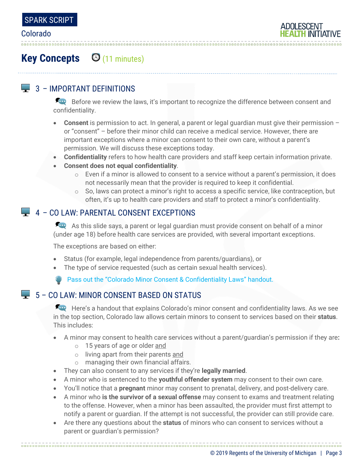

# **Key Concepts** (11 minutes)

### $\Box$  3 – IMPORTANT DEFINITIONS

Before we review the laws, it's important to recognize the difference between consent and confidentiality.

- **Consent** is permission to act. In general, a parent or legal guardian must give their permission or "consent" – before their minor child can receive a medical service. However, there are important exceptions where a minor can consent to their own care, without a parent's permission. We will discuss these exceptions today.
- **Confidentiality** refers to how health care providers and staff keep certain information private.
- **Consent does not equal confidentiality**.
	- $\circ$  Even if a minor is allowed to consent to a service without a parent's permission, it does not necessarily mean that the provider is required to keep it confidential.
	- $\circ$  So, laws can protect a minor's right to access a specific service, like contraception, but often, it's up to health care providers and staff to protect a minor's confidentiality.

### 4 – CO LAW: PARENTAL CONSENT EXCEPTIONS

As this slide says, a parent or legal guardian must provide consent on behalf of a minor (under age 18) before health care services are provided, with several important exceptions.

The exceptions are based on either:

- Status (for example, legal independence from parents/guardians), or
- The type of service requested (such as certain sexual health services).

Pass out the "Colorado Minor Consent & Confidentiality Laws" handout.

### $\blacktriangleright$  5 – CO LAW: MINOR CONSENT BASED ON STATUS

Here's a handout that explains Colorado's minor consent and confidentiality laws. As we see in the top section, Colorado law allows certain minors to consent to services based on their **status**. This includes:

- A minor may consent to health care services without a parent/guardian's permission if they are**:**
	- o 15 years of age or older and
	- o living apart from their parents and
	- o managing their own financial affairs.
- They can also consent to any services if they're **legally married**.
- A minor who is sentenced to the **youthful offender system** may consent to their own care.
- You'll notice that a **pregnant** minor may consent to prenatal, delivery, and post-delivery care.
- A minor who **is the survivor of a sexual offense** may consent to exams and treatment relating to the offense. However, when a minor has been assaulted, the provider must first attempt to notify a parent or guardian. If the attempt is not successful, the provider can still provide care.
- Are there any questions about the **status** of minors who can consent to services without a parent or guardian's permission?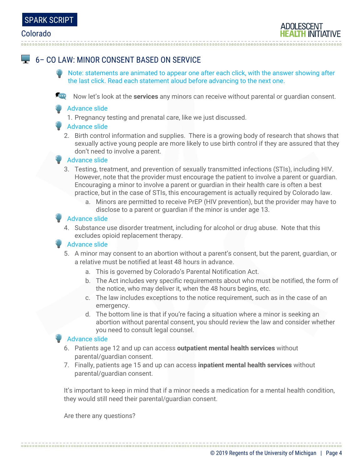## 6– CO LAW: MINOR CONSENT BASED ON SERVICE

- Note: statements are animated to appear one after each click, with the answer showing after the last click. Read each statement aloud before advancing to the next one.
- Now let's look at the **services** any minors can receive without parental or guardian consent.

#### Advance slide

1. Pregnancy testing and prenatal care, like we just discussed.

#### Advance slide

2. Birth control information and supplies. There is a growing body of research that shows that sexually active young people are more likely to use birth control if they are assured that they don't need to involve a parent.

#### Advance slide

- 3. Testing, treatment, and prevention of sexually transmitted infections (STIs), including HIV. However, note that the provider must encourage the patient to involve a parent or guardian. Encouraging a minor to involve a parent or guardian in their health care is often a best practice, but in the case of STIs, this encouragement is actually required by Colorado law.
	- a. Minors are permitted to receive PrEP (HIV prevention), but the provider may have to disclose to a parent or guardian if the minor is under age 13.

#### Advance slide

4. Substance use disorder treatment, including for alcohol or drug abuse. Note that this excludes opioid replacement therapy.

#### Advance slide

- 5. A minor may consent to an abortion without a parent's consent, but the parent, guardian, or a relative must be notified at least 48 hours in advance.
	- a. This is governed by Colorado's Parental Notification Act.
	- b. The Act includes very specific requirements about who must be notified, the form of the notice, who may deliver it, when the 48 hours begins, etc.
	- c. The law includes exceptions to the notice requirement, such as in the case of an emergency.
	- d. The bottom line is that if you're facing a situation where a minor is seeking an abortion without parental consent, you should review the law and consider whether you need to consult legal counsel.

#### Advance slide

- 6. Patients age 12 and up can access **outpatient mental health services** without parental/guardian consent.
- 7. Finally, patients age 15 and up can access **inpatient mental health services** without parental/guardian consent.

It's important to keep in mind that if a minor needs a medication for a mental health condition, they would still need their parental/guardian consent.

Are there any questions?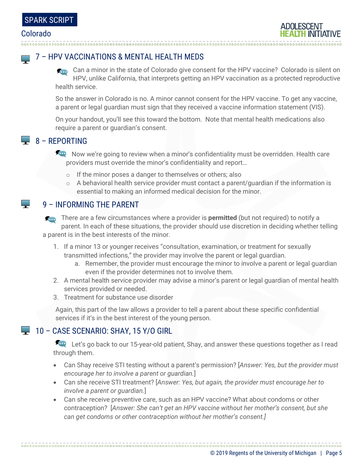**The Co** 

**Contract** 

### 7 – HPV VACCINATIONS & MENTAL HEALTH MEDS

Can a minor in the state of Colorado give consent for the HPV vaccine? Colorado is silent on HPV, unlike California, that interprets getting an HPV vaccination as a protected reproductive health service.

So the answer in Colorado is no. A minor cannot consent for the HPV vaccine. To get any vaccine, a parent or legal guardian must sign that they received a vaccine information statement (VIS).

On your handout, you'll see this toward the bottom. Note that mental health medications also require a parent or guardian's consent.

### $\Box$  8 – REPORTING

Acce Now we're going to review when a minor's confidentiality must be overridden. Health care providers must override the minor's confidentiality and report…

- o If the minor poses a danger to themselves or others; also
- o A behavioral health service provider must contact a parent/guardian if the information is essential to making an informed medical decision for the minor.

### 9 – INFORMING THE PARENT

There are a few circumstances where a provider is **permitted** (but not required) to notify a parent. In each of these situations, the provider should use discretion in deciding whether telling a parent is in the best interests of the minor.

- 1. If a minor 13 or younger receives "consultation, examination, or treatment for sexually transmitted infections," the provider may involve the parent or legal guardian.
	- a. Remember, the provider must encourage the minor to involve a parent or legal guardian even if the provider determines not to involve them.
- 2. A mental health service provider may advise a minor's parent or legal guardian of mental health services provided or needed.
- 3. Treatment for substance use disorder

Again, this part of the law allows a provider to tell a parent about these specific confidential services if it's in the best interest of the young person.

### $\Box$  10 – CASE SCENARIO: SHAY, 15 Y/O GIRL

Let's go back to our 15-year-old patient, Shay, and answer these questions together as I read through them.

- Can Shay receive STI testing without a parent's permission? [*Answer: Yes, but the provider must encourage her to involve a parent or guardian.*]
- Can she receive STI treatment? [*Answer: Yes, but again, the provider must encourage her to involve a parent or guardian.*]
- Can she receive preventive care, such as an HPV vaccine? What about condoms or other contraception? [*Answer: She can't get an HPV vaccine without her mother's consent, but she can get condoms or other contraception without her mother's consent.]*

© 2019 Regents of the University of Michigan | Page 5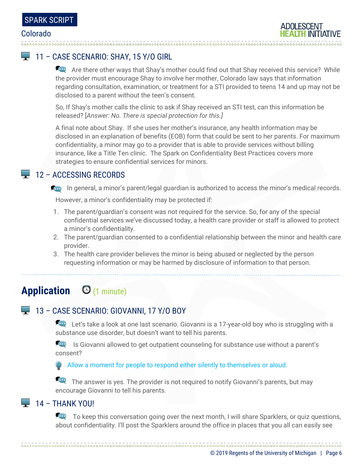### 11 – CASE SCENARIO: SHAY, 15 Y/O GIRL

Are there other ways that Shay's mother could find out that Shay received this service? While the provider must encourage Shay to involve her mother, Colorado law says that information regarding consultation, examination, or treatment for a STI provided to teens 14 and up may not be disclosed to a parent without the teen's consent.

So, If Shay's mother calls the clinic to ask if Shay received an STI test, can this information be released? [*Answer: No. There is special protection for this.]*

A final note about Shay. If she uses her mother's insurance, any health information may be disclosed in an explanation of benefits (EOB) form that could be sent to her parents. For maximum confidentiality, a minor may go to a provider that is able to provide services without billing insurance, like a Title Ten clinic. The Spark on Confidentiality Best Practices covers more strategies to ensure confidential services for minors.

### $\Box$  12 – ACCESSING RECORDS

**ID** In general, a minor's parent/legal guardian is authorized to access the minor's medical records.

However, a minor's confidentiality may be protected if:

- 1. The parent/guardian's consent was not required for the service. So, for any of the special confidential services we've discussed today, a health care provider or staff is allowed to protect a minor's confidentiality.
- 2. The parent/guardian consented to a confidential relationship between the minor and health care provider.
- 3. The health care provider believes the minor is being abused or neglected by the person requesting information or may be harmed by disclosure of information to that person.

# **Application** (1 minute)

### 13 – CASE SCENARIO: GIOVANNI, 17 Y/O BOY

Let's take a look at one last scenario. Giovanni is a 17-year-old boy who is struggling with a substance use disorder, but doesn't want to tell his parents.

**In August 20** Is Giovanni allowed to get outpatient counseling for substance use without a parent's consent?

Allow a moment for people to respond either silently to themselves or aloud.

The answer is yes. The provider is not required to notify Giovanni's parents, but may encourage Giovanni to tell his parents.

### $\Box$  14 – THANK YOU!

To keep this conversation going over the next month, I will share Sparklers, or quiz questions, about confidentiality. I'll post the Sparklers around the office in places that you all can easily see